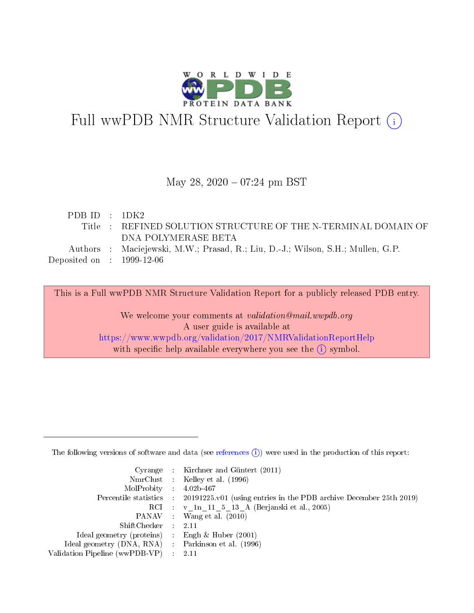

# Full wwPDB NMR Structure Validation Report (i)

## May 28,  $2020 - 07:24 \text{ pm } \text{BST}$

| PDBID : 1DK2                             |                                                                                 |
|------------------------------------------|---------------------------------------------------------------------------------|
|                                          | Title : REFINED SOLUTION STRUCTURE OF THE N-TERMINAL DOMAIN OF                  |
|                                          | DNA POLYMERASE BETA                                                             |
|                                          | Authors : Maciejewski, M.W.; Prasad, R.; Liu, D.-J.; Wilson, S.H.; Mullen, G.P. |
| Deposited on $\,$ : $\,$ 1999-12-06 $\,$ |                                                                                 |
|                                          |                                                                                 |

This is a Full wwPDB NMR Structure Validation Report for a publicly released PDB entry. We welcome your comments at *validation@mail.wwpdb.org* A user guide is available at

<https://www.wwpdb.org/validation/2017/NMRValidationReportHelp> with specific help available everywhere you see the  $(i)$  symbol.

The following versions of software and data (see [references](https://www.wwpdb.org/validation/2017/NMRValidationReportHelp#references)  $(1)$ ) were used in the production of this report:

|                                                    | Cyrange : Kirchner and Güntert $(2011)$                                                    |
|----------------------------------------------------|--------------------------------------------------------------------------------------------|
|                                                    | NmrClust : Kelley et al. (1996)                                                            |
| $MolProbability$ 4.02b-467                         |                                                                                            |
|                                                    | Percentile statistics : 20191225.v01 (using entries in the PDB archive December 25th 2019) |
|                                                    | RCI : v 1n 11 5 13 A (Berjanski et al., 2005)                                              |
|                                                    | PANAV Wang et al. (2010)                                                                   |
| $ShiftChecker$ : 2.11                              |                                                                                            |
| Ideal geometry (proteins) : Engh $\&$ Huber (2001) |                                                                                            |
| Ideal geometry (DNA, RNA) Parkinson et al. (1996)  |                                                                                            |
| Validation Pipeline (wwPDB-VP)                     | 2.11                                                                                       |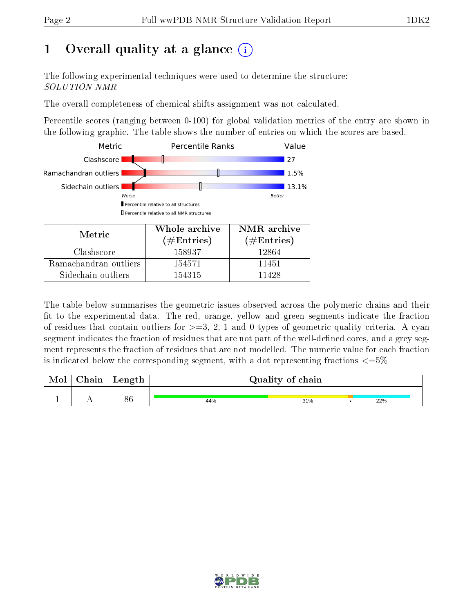# 1 [O](https://www.wwpdb.org/validation/2017/NMRValidationReportHelp#overall_quality)verall quality at a glance  $(i)$

The following experimental techniques were used to determine the structure: SOLUTION NMR

The overall completeness of chemical shifts assignment was not calculated.

Percentile scores (ranging between 0-100) for global validation metrics of the entry are shown in the following graphic. The table shows the number of entries on which the scores are based.



| <b>NIETTIC</b>        | ( $\#\mathrm{Entries}$ ) | $(\#Entries)$ |
|-----------------------|--------------------------|---------------|
| Clashscore            | 158937                   | 12864         |
| Ramachandran outliers | 154571                   | 11451         |
| Sidechain outliers    | 154315                   | 11428         |

The table below summarises the geometric issues observed across the polymeric chains and their fit to the experimental data. The red, orange, yellow and green segments indicate the fraction of residues that contain outliers for  $>=3, 2, 1$  and 0 types of geometric quality criteria. A cyan segment indicates the fraction of residues that are not part of the well-defined cores, and a grey segment represents the fraction of residues that are not modelled. The numeric value for each fraction is indicated below the corresponding segment, with a dot representing fractions  $\epsilon = 5\%$ 

| Mol | Chain | Length   |     | Quality of chain |     |
|-----|-------|----------|-----|------------------|-----|
|     |       | Qβ<br>oυ | 44% | 31%              | 22% |

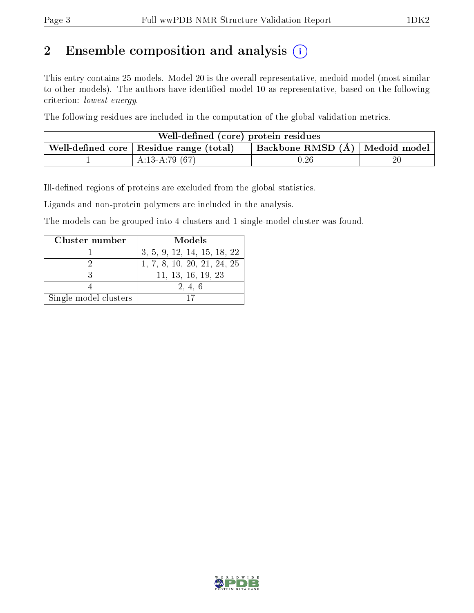# 2 Ensemble composition and analysis  $(i)$

This entry contains 25 models. Model 20 is the overall representative, medoid model (most similar to other models). The authors have identified model 10 as representative, based on the following criterion: lowest energy.

The following residues are included in the computation of the global validation metrics.

| Well-defined (core) protein residues                                                  |                  |          |        |  |  |  |
|---------------------------------------------------------------------------------------|------------------|----------|--------|--|--|--|
| Backbone RMSD (Å)   Medoid model  <br>Well-defined core $\vert$ Residue range (total) |                  |          |        |  |  |  |
|                                                                                       | A:13-A:79 $(67)$ | $0.26\,$ | $20\,$ |  |  |  |

Ill-defined regions of proteins are excluded from the global statistics.

Ligands and non-protein polymers are included in the analysis.

The models can be grouped into 4 clusters and 1 single-model cluster was found.

| Cluster number        | Models                      |
|-----------------------|-----------------------------|
|                       | 3, 5, 9, 12, 14, 15, 18, 22 |
|                       | 1, 7, 8, 10, 20, 21, 24, 25 |
|                       | 11, 13, 16, 19, 23          |
|                       | 2, 4, 6                     |
| Single-model clusters |                             |

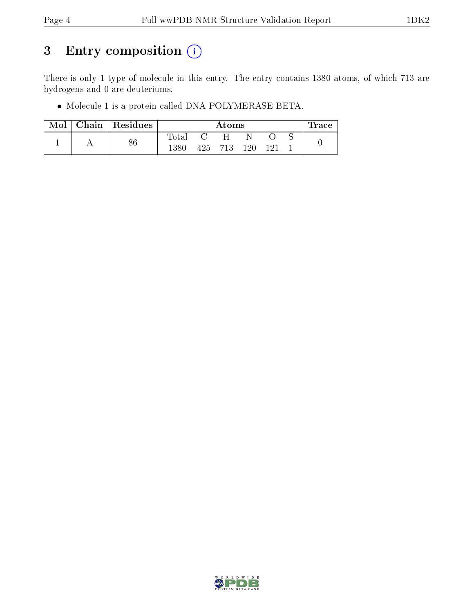## 3 Entry composition (i)

There is only 1 type of molecule in this entry. The entry contains 1380 atoms, of which 713 are hydrogens and 0 are deuteriums.

Molecule 1 is a protein called DNA POLYMERASE BETA.

| Mol | Chain Residues |             | Atoms |         |        |      | $\operatorname{Trace}$ |  |
|-----|----------------|-------------|-------|---------|--------|------|------------------------|--|
|     | 86             | $\rm Total$ |       | н       |        |      |                        |  |
|     |                | 1380        |       | 425 713 | $-120$ | -191 |                        |  |

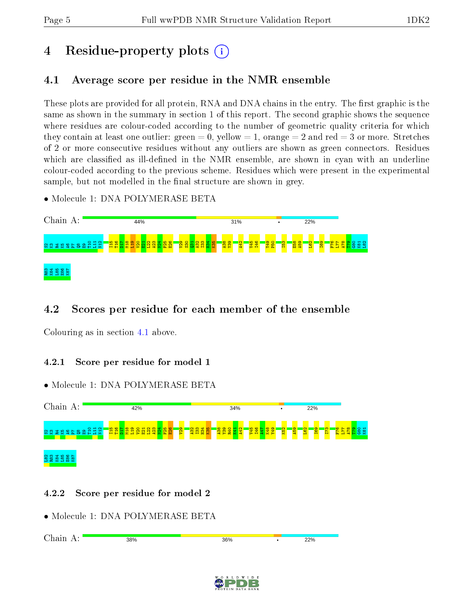# 4 Residue-property plots  $\binom{1}{1}$

## <span id="page-4-0"></span>4.1 Average score per residue in the NMR ensemble

These plots are provided for all protein, RNA and DNA chains in the entry. The first graphic is the same as shown in the summary in section 1 of this report. The second graphic shows the sequence where residues are colour-coded according to the number of geometric quality criteria for which they contain at least one outlier: green  $= 0$ , yellow  $= 1$ , orange  $= 2$  and red  $= 3$  or more. Stretches of 2 or more consecutive residues without any outliers are shown as green connectors. Residues which are classified as ill-defined in the NMR ensemble, are shown in cyan with an underline colour-coded according to the previous scheme. Residues which were present in the experimental sample, but not modelled in the final structure are shown in grey.

• Molecule 1: DNA POLYMERASE BETA



## 4.2 Scores per residue for each member of the ensemble

Colouring as in section [4.1](#page-4-0) above.

## 4.2.1 Score per residue for model 1

• Molecule 1: DNA POLYMERASE BETA



## 4.2.2 Score per residue for model 2

• Molecule 1: DNA POLYMERASE BETA

| $\sim$ 1<br>---<br>.<br>.<br>◡<br><u>.</u> | 38%<br>-- - - | 260%<br>---- | 22%<br>-- - - |
|--------------------------------------------|---------------|--------------|---------------|
|                                            |               |              |               |

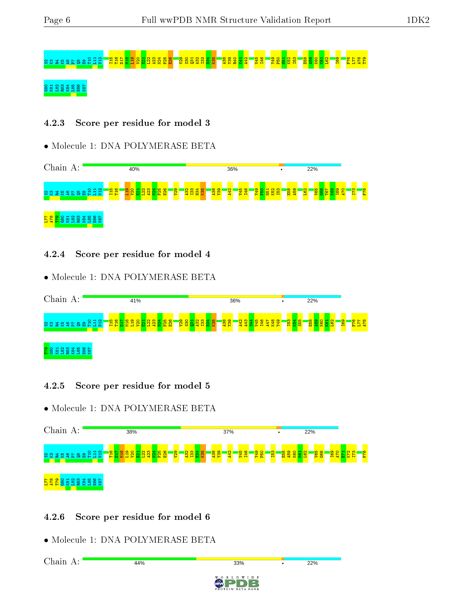# S2K3R4K5A6P7Q8E9T10 L11 N12 I15 T16 D17 M18 L19 V20 E21 L22 A23 N24 F25 E26 V29 S30 Q31 A32 I33 H34 K35 A38 Y39 R40 K41 A42 V45 I46 Y49 P50 H51 K52 I53 E58 A59 K60 K61 L62 I69 F76 L77 A78 T79

## <u>និន្ននីន្ននី</u>

#### 4.2.3 Score per residue for model 3

#### • Molecule 1: DNA POLYMERASE BETA



#### 4.2.4 Score per residue for model 4

• Molecule 1: DNA POLYMERASE BETA



## 4.2.5 Score per residue for model 5

• Molecule 1: DNA POLYMERASE BETA



## 4.2.6 Score per residue for model 6

• Molecule 1: DNA POLYMERASE BETA

Chain A:44%  $22%$  $33%$ D W I D E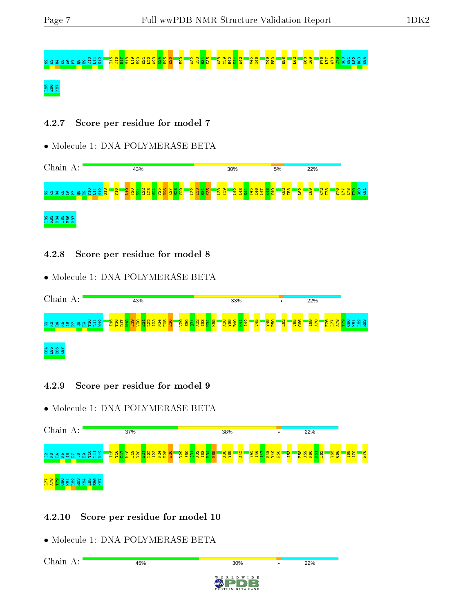# ន្ទ្រក្ខេស A7 និម្ម E3<mark>1 ក្នុង មិន មិន មិន មិន</mark>

## L85 E86 K87

### 4.2.7 Score per residue for model 7

#### • Molecule 1: DNA POLYMERASE BETA



#### 4.2.8 Score per residue for model 8

• Molecule 1: DNA POLYMERASE BETA



## 4.2.9 Score per residue for model 9

• Molecule 1: DNA POLYMERASE BETA



## 4.2.10 Score per residue for model 10

• Molecule 1: DNA POLYMERASE BETA

Chain A:45%  $22%$  $30%$ D W I D E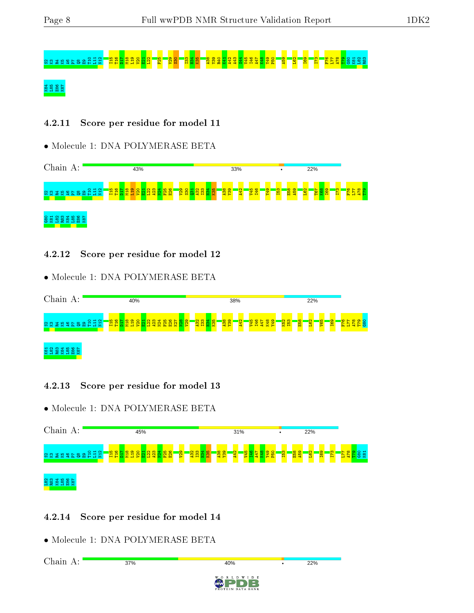# និងមានទីទី១និង

## ka<br>Kaba<br>Kaba

## 4.2.11 Score per residue for model 11

## • Molecule 1: DNA POLYMERASE BETA



## 4.2.12 Score per residue for model 12

• Molecule 1: DNA POLYMERASE BETA



## 4.2.13 Score per residue for model 13

• Molecule 1: DNA POLYMERASE BETA



## 4.2.14 Score per residue for model 14

• Molecule 1: DNA POLYMERASE BETA

Chain A:37%  $22%$ 40%  $W$  I D E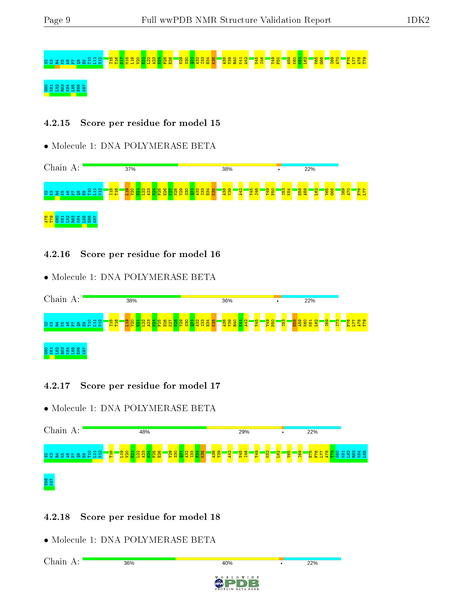# នេស្ត E38 <sup>ក្</sup>ន

## **E82 E88**

#### 4.2.15 Score per residue for model 15

• Molecule 1: DNA POLYMERASE BETA



#### 4.2.16 Score per residue for model 16

• Molecule 1: DNA POLYMERASE BETA



## 4.2.17 Score per residue for model 17

• Molecule 1: DNA POLYMERASE BETA

| Chain A:                                | 48% |                                                             | 29%<br>٠                                                            | 22%                                 |                        |
|-----------------------------------------|-----|-------------------------------------------------------------|---------------------------------------------------------------------|-------------------------------------|------------------------|
| <b>NEWSERSESSES</b><br>- <mark>암</mark> |     | <mark>និន្ទីដីនីនីនី</mark><br><mark>ិន្ទុន</mark> ្ទា<br>됗 | V45<br><b>146</b><br><b>65A</b><br>$\sim$<br>$\mathbf{\Omega}$<br>恩 | <u>isa</u><br><u>car</u><br>ıо<br>临 | <b>B</b> S S S S S S S |
| <b>88</b><br>887                        |     |                                                             |                                                                     |                                     |                        |

## 4.2.18 Score per residue for model 18

• Molecule 1: DNA POLYMERASE BETA

Chain A:36%  $22%$ 40% W I D E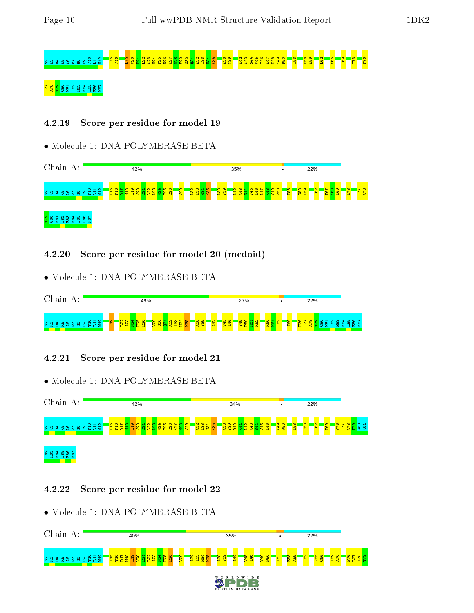# S2K3R4K5A6P7Q8E9T10 L11 N12 I15 T16 L19 V20 E21 L22 A23 N24 F25 E26 K27 N28 V29 S30 Q31 A32 I33 H34 K35 A38 Y39 A42 A43 S44 V45 I46 A47 K48 Y49 P50 I53 E58 A59 L62 V65 I69 I73 F76

## នន្ត្រី និន្ននី និន្នន<mark>ិង</mark> ដ្ឋ

#### 4.2.19 Score per residue for model 19

• Molecule 1: DNA POLYMERASE BETA



4.2.20 Score per residue for model 20 (medoid)

• Molecule 1: DNA POLYMERASE BETA



#### 4.2.21 Score per residue for model 21

• Molecule 1: DNA POLYMERASE BETA



#### 4.2.22 Score per residue for model 22

• Molecule 1: DNA POLYMERASE BETA

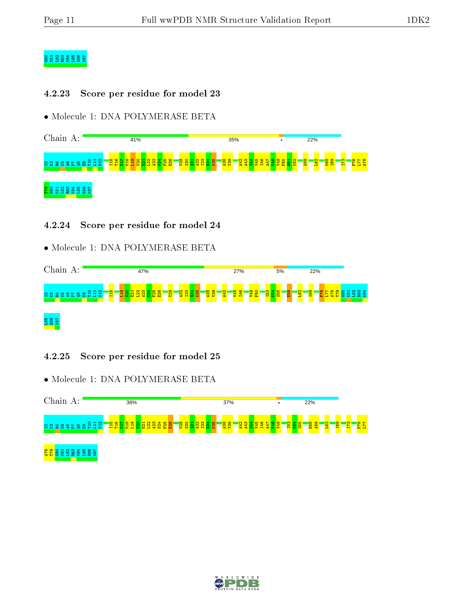## G80 K81 L82 R83 K84 L85 E86 K87

#### 4.2.23 Score per residue for model 23

• Molecule 1: DNA POLYMERASE BETA



#### 4.2.24 Score per residue for model 24

• Molecule 1: DNA POLYMERASE BETA



4.2.25 Score per residue for model 25



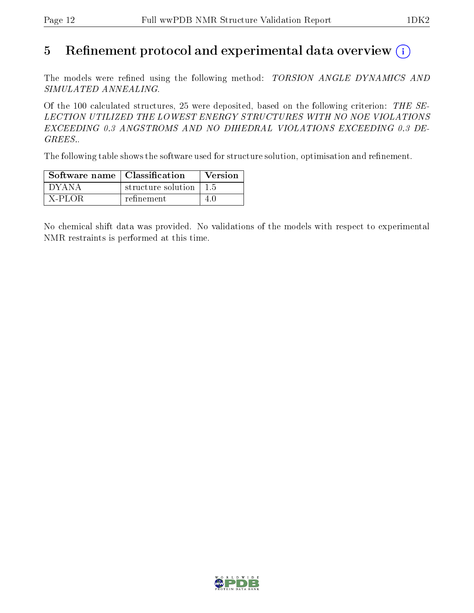## 5 Refinement protocol and experimental data overview  $\binom{1}{k}$

The models were refined using the following method: TORSION ANGLE DYNAMICS AND SIMULATED ANNEALING.

Of the 100 calculated structures, 25 were deposited, based on the following criterion: THE SE-LECTION UTILIZED THE LOWEST ENERGY STRUCTURES WITH NO NOE VIOLATIONS EXCEEDING 0.3 ANGSTROMS AND NO DIHEDRAL VIOLATIONS EXCEEDING 0.3 DE-GREES..

The following table shows the software used for structure solution, optimisation and refinement.

| Software name   Classification |                                        | <b>Version</b> |
|--------------------------------|----------------------------------------|----------------|
| I DYANA                        | structure solution $\vert 1.5 \rangle$ |                |
| X-PLOR                         | refinement                             | 40             |

No chemical shift data was provided. No validations of the models with respect to experimental NMR restraints is performed at this time.

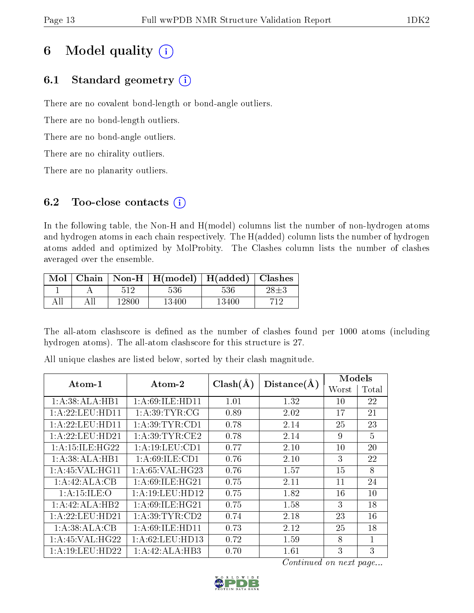## 6 Model quality  $(i)$

## 6.1 Standard geometry  $(i)$

There are no covalent bond-length or bond-angle outliers.

There are no bond-length outliers.

There are no bond-angle outliers.

There are no chirality outliers.

There are no planarity outliers.

## 6.2 Too-close contacts  $(i)$

In the following table, the Non-H and H(model) columns list the number of non-hydrogen atoms and hydrogen atoms in each chain respectively. The H(added) column lists the number of hydrogen atoms added and optimized by MolProbity. The Clashes column lists the number of clashes averaged over the ensemble.

| Mol | Chain |       | $\mid$ Non-H $\mid$ H(model) $\mid$ H(added) $\mid$ |       | Clashes |
|-----|-------|-------|-----------------------------------------------------|-------|---------|
|     |       | 512   | 536                                                 | 536   |         |
|     |       | 12800 | 13400                                               | 13400 |         |

The all-atom clashscore is defined as the number of clashes found per 1000 atoms (including hydrogen atoms). The all-atom clashscore for this structure is 27.

|                   |                                       |              |             | Models |                |
|-------------------|---------------------------------------|--------------|-------------|--------|----------------|
| $Atom-1$          | $\boldsymbol{\mathrm{Atom}\text{-}2}$ | $Clash(\AA)$ | Distance(A) | Worst  | Total          |
| 1:A:38:ALA:HB1    | 1:A:69:ILE:HD11                       | 1.01         | 1.32        | 10     | 22             |
| 1:A:22:LEU:HD11   | 1: A:39:TYR:CG                        | 0.89         | 2.02        | 17     | 21             |
| 1: A:22:LEU:HD11  | 1: A:39:TYR:CD1                       | 0.78         | 2.14        | 25     | 23             |
| 1: A:22:LEU:HD21  | 1: A:39:TYR:CE2                       | 0.78         | 2.14        | 9      | $\overline{5}$ |
| 1: A:15: ILE:HG22 | 1: A: 19: LEU: CD1                    | 0.77         | 2.10        | 10     | 20             |
| 1:A:38:ALA:HB1    | 1: A:69: ILE: CD1                     | 0.76         | 2.10        | 3      | 22             |
| 1: A:45: VAL:HGI1 | 1: A:65: VAL:HG23                     | 0.76         | 1.57        | 15     | 8              |
| 1:A:42:ALA:CB     | 1: A:69: ILE: HG21                    | 0.75         | 2.11        | 11     | 24             |
| 1: A:15: ILE: O   | 1: A:19: LEU: HD12                    | 0.75         | 1.82        | 16     | 10             |
| 1:A:42:ALA:HB2    | 1:A:69:ILE:HG21                       | 0.75         | 1.58        | 3      | 18             |
| 1: A:22:LEU:HD21  | 1: A:39:TYR:CD2                       | 0.74         | 2.18        | 23     | 16             |
| 1:A:38:ALA:CB     | 1: A:69: ILE: HD11                    | 0.73         | 2.12        | 25     | 18             |
| 1: A:45: VAL:HG22 | 1:A:62:LEU:HD13                       | 0.72         | 1.59        | 8      | 1              |
| 1:A:19:LEU:HD22   | 1:A:42:ALA:HB3                        | 0.70         | 1.61        | 3      | 3              |

All unique clashes are listed below, sorted by their clash magnitude.

Continued on next page...

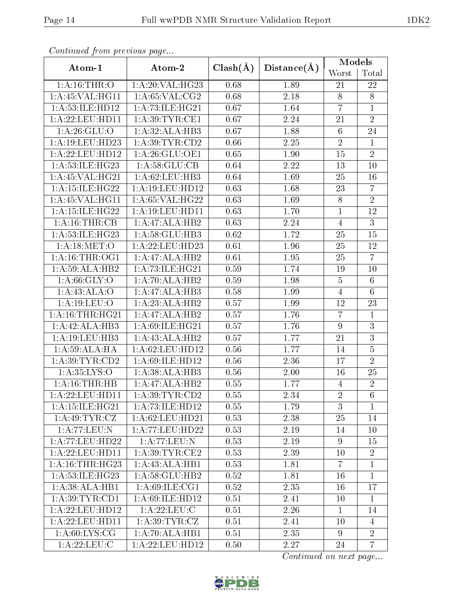| Continuaca from previous page |                                |              |             | Models           |                 |
|-------------------------------|--------------------------------|--------------|-------------|------------------|-----------------|
| Atom-1                        | Atom-2                         | $Clash(\AA)$ | Distance(A) | Worst            | Total           |
| 1: A:16:THR:O                 | 1:A:20:VAL:HG23                | 0.68         | 1.89        | 21               | 22              |
| 1: A:45: VAL:HGI1             | 1: A:65:VAL: CG2               | 0.68         | 2.18        | 8                | 8               |
| 1:A:53:ILE:HD12               | 1:A:73:ILE:HG21                | 0.67         | 1.64        | $\overline{7}$   | $\mathbf{1}$    |
| 1: A:22:LEU:HD11              | 1: A:39:TYR:CE1                | 0.67         | 2.24        | 21               | $\overline{2}$  |
| 1: A:26: GLU:O                | 1:A:32:ALA:HB3                 | 0.67         | 1.88        | $6\phantom{.}6$  | 24              |
| 1:A:19:LEU:HD23               | 1: A:39: TYR:CD2               | 0.66         | 2.25        | $\sqrt{2}$       | $\mathbf{1}$    |
| 1: A:22:LEU:HD12              | 1: A:26: GLU:OE1               | 0.65         | 1.90        | 15               | $\overline{2}$  |
| 1: A:53: ILE: HG23            | 1: A:58: GLU:CB                | 0.64         | 2.22        | 13               | 10              |
| $1:$ A:45:VAL:HG21            | 1: A:62:LEU:HB3                | 0.64         | 1.69        | 25               | 16              |
| 1:A:15:ILE:HG22               | 1: A:19: LEU: HD12             | 0.63         | 1.68        | 23               | $\overline{7}$  |
| 1:A:45:VAL:HG11               | 1: A:65: VAL:HG22              | 0.63         | 1.69        | $\overline{8}$   | $\overline{2}$  |
| 1:A:15:ILE:HG22               | 1: A:19: LEU: HD11             | 0.63         | 1.70        | $\mathbf{1}$     | 12              |
| 1: A:16:THR:CB                | 1:A:47:ALA:HB2                 | 0.63         | 2.24        | $\overline{4}$   | $\overline{3}$  |
| 1:A:53:ILE:HG23               | 1:A:58:GLU:HB3                 | 0.62         | 1.72        | 25               | 15              |
| 1: A:18: MET:O                | 1:A:22:LEU:HD23                | 0.61         | 1.96        | 25               | 12              |
| 1: A:16:THR:OG1               | 1:A:47:ALA:HB2                 | 0.61         | 1.95        | 25               | $\overline{7}$  |
| 1:A:59:ALA:HB2                | 1:A:73:ILE:HG21                | 0.59         | 1.74        | 19               | 10              |
| 1: A:66: GLY:O                | 1:A:70:ALA:HB2                 | 0.59         | 1.98        | $\overline{5}$   | $6\phantom{.}6$ |
| 1:A:43:ALA:O                  | 1:A:47:ALA:HB3                 | 0.58         | 1.99        | $\overline{4}$   | $6\phantom{.}6$ |
| 1: A:19: LEU:O                | 1:A:23:ALA:HB2                 | 0.57         | 1.99        | 12               | 23              |
| 1: A:16:THR:HG21              | 1:A:47:ALA:HB2                 | 0.57         | 1.76        | $\overline{7}$   | 1               |
| 1:A:42:ALA:HB3                | 1: A:69: ILE: HG <sub>21</sub> | 0.57         | 1.76        | $\boldsymbol{9}$ | 3               |
| 1:A:19:LEU:HB3                | 1:A:43:ALA:HB2                 | 0.57         | 1.77        | 21               | $\overline{3}$  |
| 1: A:59: ALA: HA              | 1: A:62:LEU:HD12               | 0.56         | 1.77        | 14               | $\overline{5}$  |
| 1: A:39: TYR:CD2              | 1: A:69: ILE: HD12             | 0.56         | 2.36        | 17               | $\overline{2}$  |
| 1: A: 35: LYS: O              | 1:A:38:ALA:HB3                 | 0.56         | 2.00        | 16               | 25              |
| 1:A:16:THR:HB                 | 1:A:47:ALA:HB2                 | 0.55         | 1.77        | 4                | $\sqrt{2}$      |
| 1: A:22:LEU:HD11              | 1: A:39: TYR:CD2               | 0.55         | 2.34        | $\overline{2}$   | $\overline{6}$  |
| 1:A:15:ILE:HG21               | 1:A:73:ILE:HD12                | 0.55         | 1.79        | 3                | $\mathbf{1}$    |
| 1:A:49:TYR:CZ                 | 1:A:62:LEU:HD21                | 0.53         | 2.38        | 25               | 14              |
| 1:A:77:LEU:N                  | 1:A:77:LEU:HD22                | 0.53         | 2.19        | 14               | 10              |
| 1: A:77:LEU:HD22              | 1: A:77: LEU: N                | 0.53         | 2.19        | 9                | 15              |
| 1: A:22:LEU:HD11              | 1: A:39: TYR: CE2              | 0.53         | 2.39        | 10               | $\overline{2}$  |
| 1: A:16:THR:HG23              | 1: A: 43: ALA: HB1             | 0.53         | 1.81        | $\overline{7}$   | $\mathbf{1}$    |
| 1:A:53:ILE:HG23               | 1:A:58:GLU:HB2                 | 0.52         | 1.81        | 16               | $\mathbf{1}$    |
| 1:A:38:ALA:HB1                | 1: A:69: ILE: CG1              | 0.52         | 2.35        | 16               | 17              |
| 1: A:39: TYR: CD1             | 1: A:69: ILE: HD12             | 0.51         | 2.41        | 10               | $\mathbf{1}$    |
| 1: A:22:LEU:HD12              | 1: A:22:LEU: C                 | 0.51         | 2.26        | $\mathbf{1}$     | 14              |
| 1: A:22:LEU:HD11              | 1: A:39:TYR:CZ                 | 0.51         | 2.41        | 10               | $\overline{4}$  |
| 1: A:60: LYS: CG              | 1:A:70:ALA:HB1                 | 0.51         | 2.35        | 9                | $\overline{2}$  |
| 1: A:22:LEU:C                 | 1:A:22:LEU:HD12                | 0.50         | 2.27        | 24               | $\overline{7}$  |

Continued from previous page.

Continued on next page...

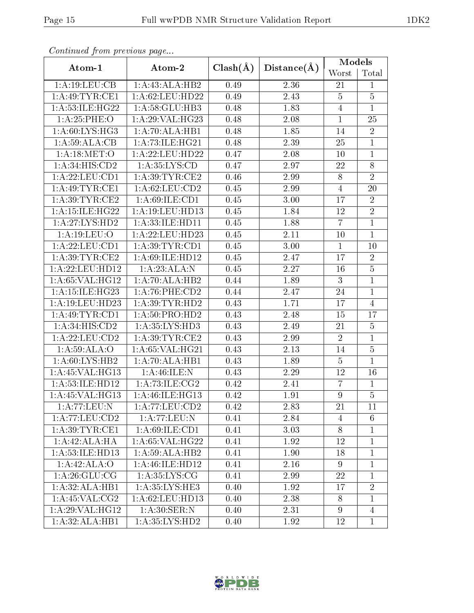| Continually from previous page |                     |              |                   | Models         |                |
|--------------------------------|---------------------|--------------|-------------------|----------------|----------------|
| Atom-1                         | Atom-2              | $Clash(\AA)$ | Distance(A)       | Worst          | Total          |
| 1:A:19:LEU:CB                  | 1:A:43:ALA:HB2      | 0.49         | 2.36              | 21             | $\mathbf{1}$   |
| 1: A:49:TYR:CE1                | 1: A:62:LEU:HD22    | 0.49         | 2.43              | $\overline{5}$ | $\bf 5$        |
| 1: A:53: ILE: HG22             | 1:A:58:GLU:HB3      | 0.48         | 1.83              | $\overline{4}$ | $\mathbf{1}$   |
| 1:A:25:PHE:O                   | 1: A:29: VAL:HG23   | 0.48         | 2.08              | $\mathbf 1$    | 25             |
| 1: A:60: LYS: HG3              | 1:A:70:ALA:HB1      | 0.48         | 1.85              | 14             | $\sqrt{2}$     |
| 1: A:59: ALA:CB                | 1: A: 73: ILE: HG21 | 0.48         | 2.39              | 25             | $\mathbf 1$    |
| 1: A:18: MET:O                 | 1:A:22:LEU:HD22     | 0.47         | 2.08              | 10             | $\mathbf{1}$   |
| 1:A:34:HIS:CD2                 | 1: A: 35: LYS: CD   | 0.47         | 2.97              | 22             | $8\,$          |
| 1: A:22: LEU: CD1              | 1: A:39:TYR:CE2     | 0.46         | 2.99              | $8\,$          | $\overline{2}$ |
| 1: A:49:TYR:CE1                | 1: A:62:LEU:CD2     | 0.45         | 2.99              | $\overline{4}$ | 20             |
| 1: A:39: TYR: CE2              | 1: A:69: ILE: CD1   | 0.45         | 3.00              | 17             | $\overline{2}$ |
| 1: A:15: ILE:HG22              | 1:A:19:LEU:HD13     | 0.45         | 1.84              | 12             | $\overline{2}$ |
| 1:A:27:LYS:HD2                 | 1:A:33:ILE:HD11     | 0.45         | 1.88              | $\overline{7}$ | $\mathbf{1}$   |
| 1:A:19:LEU:O                   | 1:A:22:LEU:HD23     | 0.45         | 2.11              | 10             | $\mathbf{1}$   |
| 1: A:22: LEU: CD1              | 1: A:39: TYR: CD1   | 0.45         | 3.00              | $\mathbf{1}$   | 10             |
| 1: A:39:TYR:CE2                | 1: A:69: ILE: HD12  | 0.45         | 2.47              | 17             | $\sqrt{2}$     |
| 1: A:22:LEU:HD12               | 1:A:23:ALA:N        | 0.45         | 2.27              | 16             | $\overline{5}$ |
| 1: A:65: VAL:HG12              | 1: A:70:ALA:HB2     | 0.44         | 1.89              | 3              | $\mathbf{1}$   |
| 1:A:15:ILE:HG23                | $1: A:76:$ PHE:CD2  | 0.44         | 2.47              | 24             | $\mathbf{1}$   |
| 1: A:19:LEU:HD23               | 1: A:39:TYR:HD2     | 0.43         | 1.71              | 17             | $\overline{4}$ |
| 1: A: 49: TYR: CD1             | 1: A:50: PRO:HD2    | 0.43         | 2.48              | 15             | 17             |
| 1:A:34:HIS:CD2                 | 1:A:35:LYS:HD3      | 0.43         | 2.49              | 21             | $\overline{5}$ |
| 1:A:22:LEU:CD2                 | 1: A:39:TYR:CE2     | 0.43         | 2.99              | $\overline{2}$ | $\mathbf{1}$   |
| 1:A:59:ALA:O                   | 1: A:65: VAL:HG21   | 0.43         | 2.13              | 14             | $\bf 5$        |
| 1: A:60: LYS: HB2              | 1:A:70:ALA:HB1      | 0.43         | 1.89              | $\overline{5}$ | $\mathbf{1}$   |
| 1:A:45:VAL:HG13                | $1:$ A:46:ILE:N     | 0.43         | 2.29              | 12             | 16             |
| 1:A:53:ILE:HD12                | 1:A:73:ILE:CG2      | 0.42         | 2.41              | $\overline{7}$ | $\mathbf{1}$   |
| 1:A:45:VAL:HG13                | 1:A:46:ILE:HG13     | 0.42         | $\overline{1.91}$ | $\overline{9}$ | $\overline{5}$ |
| 1:A:77:LEU:N                   | 1:A:77:LEU:CD2      | 0.42         | 2.83              | 21             | 11             |
| 1:A:77:LEU:CD2                 | 1:A:77:LEU:N        | 0.41         | 2.84              | 4              | 6              |
| 1: A:39:TYR:CE1                | 1: A:69: ILE: CD1   | 0.41         | 3.03              | 8              | $\mathbf{1}$   |
| 1:A:42:ALA:HA                  | 1: A:65: VAL:HG22   | 0.41         | 1.92              | 12             | $\mathbf{1}$   |
| 1:A:53:ILE:HD13                | 1: A:59: ALA:HB2    | 0.41         | 1.90              | 18             | $\mathbf{1}$   |
| 1:A:42:ALA:O                   | 1:A:46:ILE:HD12     | 0.41         | 2.16              | 9              | 1              |
| 1: A:26: GLU:CG                | 1: A:35: LYS: CG    | 0.41         | 2.99              | 22             | $\mathbf{1}$   |
| 1:A:32:ALA:HB1                 | 1: A:35:LYS:HE3     | 0.40         | 1.92              | 17             | $\overline{2}$ |
| 1:A:45:VAL:CG2                 | 1:A:62:LEU:HD13     | 0.40         | 2.38              | 8              | $\mathbf{1}$   |
| 1: A:29: VAL: HG12             | 1: A:30: SER: N     | 0.40         | 2.31              | 9              | $\overline{4}$ |
| $1:A:32:ALA:H\overline{B1}$    | 1: A:35:LYS:HD2     | 0.40         | 1.92              | 12             | $\mathbf{1}$   |

Continued from previous page.

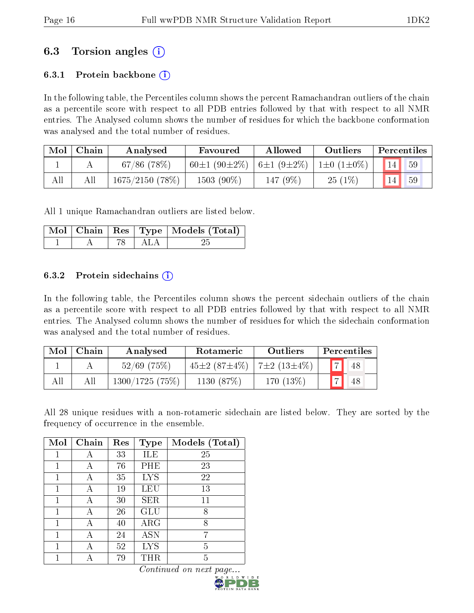## 6.3 Torsion angles (i)

## 6.3.1 Protein backbone  $(i)$

In the following table, the Percentiles column shows the percent Ramachandran outliers of the chain as a percentile score with respect to all PDB entries followed by that with respect to all NMR entries. The Analysed column shows the number of residues for which the backbone conformation was analysed and the total number of residues.

| Mol | Chain | Analysed          | Favoured           | <b>Allowed</b>   | Outliers         | Percentiles |
|-----|-------|-------------------|--------------------|------------------|------------------|-------------|
|     |       | $67/86$ (78\%)    | $60\pm1(90\pm2\%)$ | $6\pm1(9\pm2\%)$ | $1\pm0(1\pm0\%)$ | 59          |
| All |       | $1675/2150$ (78%) | $1503(90\%)$       | 147 (9%)         | $25(1\%)$        | 59          |

All 1 unique Ramachandran outliers are listed below.

|  |            | Mol   Chain   Res   Type   Models (Total) |
|--|------------|-------------------------------------------|
|  | - 78   ALA |                                           |

#### 6.3.2 Protein sidechains  $\hat{1}$

In the following table, the Percentiles column shows the percent sidechain outliers of the chain as a percentile score with respect to all PDB entries followed by that with respect to all NMR entries. The Analysed column shows the number of residues for which the sidechain conformation was analysed and the total number of residues.

| Mol | Chain | Analysed       | Rotameric                    | Outliers     | Percentiles       |
|-----|-------|----------------|------------------------------|--------------|-------------------|
|     |       | $52/69$ (75%)  | 45±2 (87±4\%)   7±2 (13±4\%) |              | $\sqrt{17}$<br>48 |
|     | All   | 1300/1725(75%) | 1130 (87%)                   | 170 $(13\%)$ | 48                |

All 28 unique residues with a non-rotameric sidechain are listed below. They are sorted by the frequency of occurrence in the ensemble.

| Mol | Chain | Res | <b>Type</b> | Models (Total) |
|-----|-------|-----|-------------|----------------|
|     |       | 33  | ILE         | 25             |
| 1   |       | 76  | PHE         | 23             |
| 1   | А     | 35  | <b>LYS</b>  | 22             |
|     |       | 19  | LEU         | 13             |
| 1   |       | 30  | <b>SER</b>  | 11             |
| 1   | А     | 26  | GLU         | 8              |
|     |       | 40  | $\rm{ARG}$  | 8              |
| 1   | А     | 24  | <b>ASN</b>  | 7              |
| 1   | А     | 52  | <b>LYS</b>  | 5              |
|     |       | 79  | THR         | 5              |

Continued on next page.

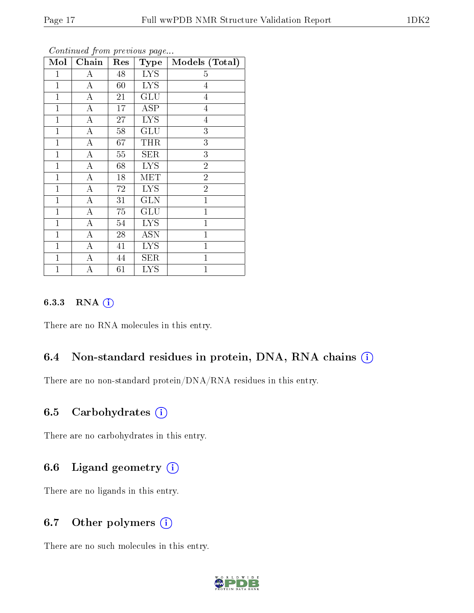| Mol            | Chain              | Res             | <b>Type</b>          | Models (Total) |
|----------------|--------------------|-----------------|----------------------|----------------|
| $\mathbf 1$    | А                  | 48              | <b>LYS</b>           | $\overline{5}$ |
| $\mathbf{1}$   | A                  | 60              | <b>LYS</b>           | $\overline{4}$ |
| $\mathbf 1$    | A                  | 21              | $\operatorname{GLU}$ | 4              |
| $\mathbf{1}$   | $\overline{\rm A}$ | 17              | <b>ASP</b>           | 4              |
| $\mathbf{1}$   | $\overline{\rm A}$ | 27              | <b>LYS</b>           | $\overline{4}$ |
| $\mathbf{1}$   | $\bf{A}$           | 58              | GLU                  | $\overline{3}$ |
| $\mathbf{1}$   | $\overline{\rm A}$ | 67              | <b>THR</b>           | $\overline{3}$ |
| $\mathbf{1}$   | $\overline{A}$     | $55\,$          | <b>SER</b>           | $\overline{3}$ |
| $\mathbf{1}$   | $\bf{A}$           | 68              | <b>LYS</b>           | $\overline{2}$ |
| $\mathbf{1}$   | $\overline{\rm A}$ | 18              | MET                  | $\overline{2}$ |
| $\mathbf{1}$   | $\bf{A}$           | 72              | <b>LYS</b>           | $\overline{2}$ |
| $\overline{1}$ | A                  | 31              | <b>GLN</b>           | $\mathbf{1}$   |
| $\mathbf{1}$   | $\overline{A}$     | $\overline{75}$ | GLU                  | $\mathbf{1}$   |
| $\mathbf{1}$   | $\bf{A}$           | 54              | <b>LYS</b>           | $\mathbf{1}$   |
| $\mathbf{1}$   | $\overline{\rm A}$ | 28              | <b>ASN</b>           | $\mathbf{1}$   |
| $\mathbf{1}$   | $\boldsymbol{A}$   | 41              | <b>LYS</b>           | $\mathbf{1}$   |
| $\mathbf{1}$   | А                  | 44              | <b>SER</b>           | $\mathbf{1}$   |
| $\mathbf 1$    | А                  | 61              | <b>LYS</b>           | $\mathbf{1}$   |

Continued from previous page.

#### 6.3.3 RNA (i)

There are no RNA molecules in this entry.

## 6.4 Non-standard residues in protein, DNA, RNA chains (i)

There are no non-standard protein/DNA/RNA residues in this entry.

## 6.5 Carbohydrates (i)

There are no carbohydrates in this entry.

## 6.6 Ligand geometry (i)

There are no ligands in this entry.

## 6.7 [O](https://www.wwpdb.org/validation/2017/NMRValidationReportHelp#nonstandard_residues_and_ligands)ther polymers (i)

There are no such molecules in this entry.

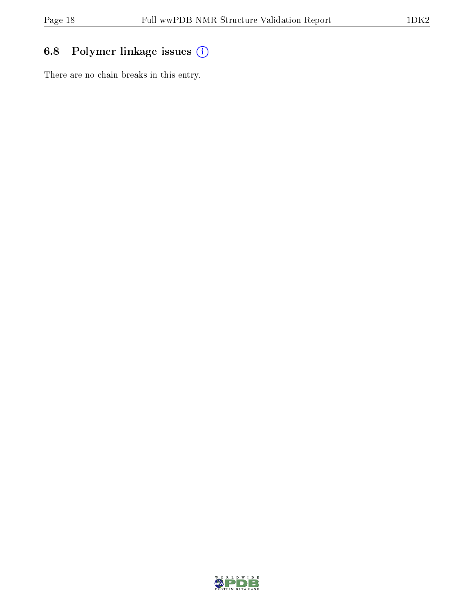## 6.8 Polymer linkage issues (i)

There are no chain breaks in this entry.